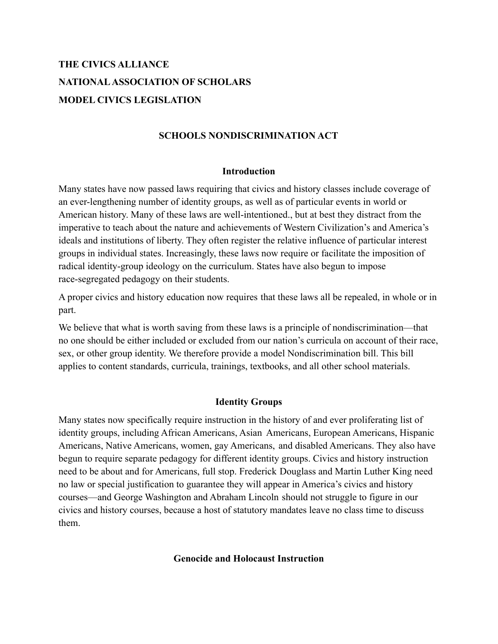# **THE CIVICS ALLIANCE NATIONALASSOCIATION OF SCHOLARS MODEL CIVICS LEGISLATION**

## **SCHOOLS NONDISCRIMINATION ACT**

#### **Introduction**

Many states have now passed laws requiring that civics and history classes include coverage of an ever-lengthening number of identity groups, as well as of particular events in world or American history. Many of these laws are well-intentioned., but at best they distract from the imperative to teach about the nature and achievements of Western Civilization's and America's ideals and institutions of liberty. They often register the relative influence of particular interest groups in individual states. Increasingly, these laws now require or facilitate the imposition of radical identity-group ideology on the curriculum. States have also begun to impose race-segregated pedagogy on their students.

A proper civics and history education now requires that these laws all be repealed, in whole or in part.

We believe that what is worth saving from these laws is a principle of nondiscrimination—that no one should be either included or excluded from our nation's curricula on account of their race, sex, or other group identity. We therefore provide a model Nondiscrimination bill. This bill applies to content standards, curricula, trainings, textbooks, and all other school materials.

## **Identity Groups**

Many states now specifically require instruction in the history of and ever proliferating list of identity groups, including African Americans, Asian Americans, European Americans, Hispanic Americans, Native Americans, women, gay Americans, and disabled Americans. They also have begun to require separate pedagogy for different identity groups. Civics and history instruction need to be about and for Americans, full stop. Frederick Douglass and Martin Luther King need no law or special justification to guarantee they will appear in America's civics and history courses—and George Washington and Abraham Lincoln should not struggle to figure in our civics and history courses, because a host of statutory mandates leave no class time to discuss them.

#### **Genocide and Holocaust Instruction**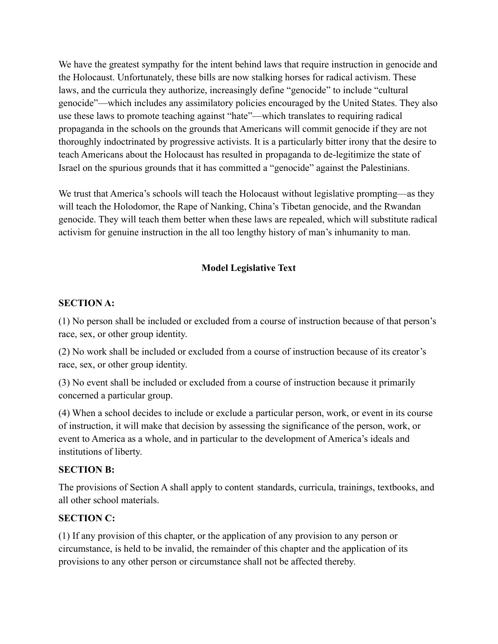We have the greatest sympathy for the intent behind laws that require instruction in genocide and the Holocaust. Unfortunately, these bills are now stalking horses for radical activism. These laws, and the curricula they authorize, increasingly define "genocide" to include "cultural genocide"—which includes any assimilatory policies encouraged by the United States. They also use these laws to promote teaching against "hate"—which translates to requiring radical propaganda in the schools on the grounds that Americans will commit genocide if they are not thoroughly indoctrinated by progressive activists. It is a particularly bitter irony that the desire to teach Americans about the Holocaust has resulted in propaganda to de-legitimize the state of Israel on the spurious grounds that it has committed a "genocide" against the Palestinians.

We trust that America's schools will teach the Holocaust without legislative prompting—as they will teach the Holodomor, the Rape of Nanking, China's Tibetan genocide, and the Rwandan genocide. They will teach them better when these laws are repealed, which will substitute radical activism for genuine instruction in the all too lengthy history of man's inhumanity to man.

# **Model Legislative Text**

## **SECTION A:**

(1) No person shall be included or excluded from a course of instruction because of that person's race, sex, or other group identity.

(2) No work shall be included or excluded from a course of instruction because of its creator's race, sex, or other group identity.

(3) No event shall be included or excluded from a course of instruction because it primarily concerned a particular group.

(4) When a school decides to include or exclude a particular person, work, or event in its course of instruction, it will make that decision by assessing the significance of the person, work, or event to America as a whole, and in particular to the development of America's ideals and institutions of liberty.

## **SECTION B:**

The provisions of Section A shall apply to content standards, curricula, trainings, textbooks, and all other school materials.

## **SECTION C:**

(1) If any provision of this chapter, or the application of any provision to any person or circumstance, is held to be invalid, the remainder of this chapter and the application of its provisions to any other person or circumstance shall not be affected thereby.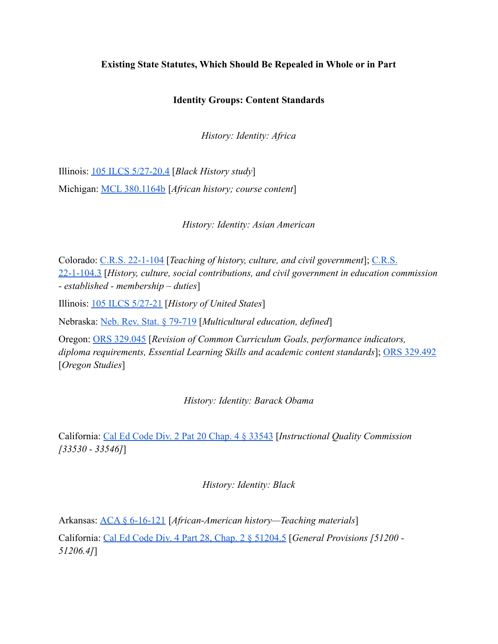#### **Existing State Statutes, Which Should Be Repealed in Whole or in Part**

#### **Identity Groups: Content Standards**

*History: Identity: Africa*

Illinois: [105 ILCS 5/27-20.4](https://www.ilga.gov/legislation/ilcs/fulltext.asp?DocName=010500050K27-20.4) [*Black History study*] Michigan: [MCL 380.1164b](http://www.legislature.mi.gov/(S(wq4pqgmxgng5tgk2ti4aj4xh))/mileg.aspx?page=getObject&objectName=mcl-380-1164b) [*African history; course content*]

*History: Identity: Asian American*

Colorado: [C.R.S. 22-1-104](https://legiscan.com/CO/text/SB067/id/2384645/Colorado-2021-SB067-Enrolled.pdf) [*Teaching of history, culture, and civil government*]; [C.R.S.](https://leg.colorado.gov/sites/default/files/images/olls/crs2020-title-22.pdf) [22-1-104.3](https://leg.colorado.gov/sites/default/files/images/olls/crs2020-title-22.pdf) [*History, culture, social contributions, and civil government in education commission - established - membership – duties*]

Illinois: [105 ILCS 5/27-21](https://www.ilga.gov/legislation/ilcs/fulltext.asp?DocName=010500050K27-21) [*History of United States*]

Nebraska: [Neb. Rev. Stat. § 79-719](https://nebraskalegislature.gov/laws/statutes.php?statute=79-719) [*Multicultural education, defined*]

Oregon: [ORS 329.045](https://www.oregonlaws.org/ors/329.045) [*Revision of Common Curriculum Goals, performance indicators, diploma requirements, Essential Learning Skills and academic content standards*]; [ORS 329.492](https://www.oregonlaws.org/ors/329.492) [*Oregon Studies*]

*History: Identity: Barack Obama*

California: [Cal Ed Code Div. 2 Pat 20 Chap. 4 § 33543](https://leginfo.legislature.ca.gov/faces/codes_displaySection.xhtml?lawCode=EDC§ionNum=33543.) [*Instructional Quality Commission [33530 - 33546]*]

*History: Identity: Black*

Arkansas: [ACA § 6-16-121](https://codes.findlaw.com/ar/title-6-education/ar-code-sect-6-16-121.html) [*African-American history—Teaching materials*]

California: [Cal Ed Code Div. 4 Part 28, Chap. 2 §](https://leginfo.legislature.ca.gov/faces/codes_displaySection.xhtml?lawCode=EDC§ionNum=51204.5.) 51204.5 [*General Provisions [51200 - 51206.4]*]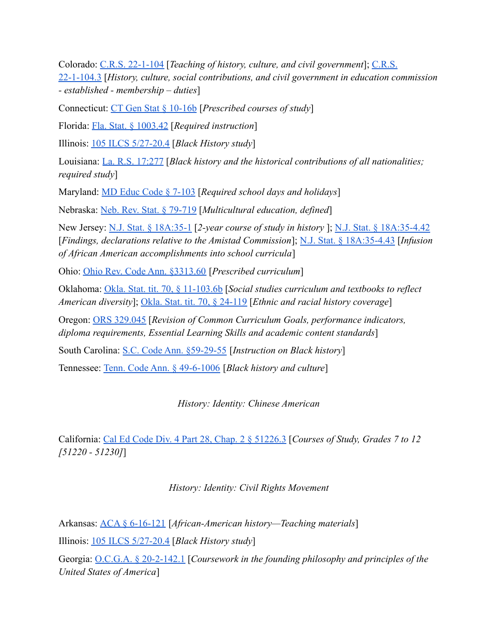Colorado: [C.R.S. 22-1-104](https://legiscan.com/CO/text/SB067/id/2384645/Colorado-2021-SB067-Enrolled.pdf) [*Teaching of history, culture, and civil government*]; [C.R.S.](https://leg.colorado.gov/sites/default/files/images/olls/crs2020-title-22.pdf) [22-1-104.3](https://leg.colorado.gov/sites/default/files/images/olls/crs2020-title-22.pdf) [*History, culture, social contributions, and civil government in education commission - established - membership – duties*]

Connecticut: [CT Gen Stat § 10-16b](https://www.lawserver.com/law/state/connecticut/ct-laws/connecticut_statutes_10-16b) [*Prescribed courses of study*]

Florida: [Fla. Stat. § 1003.42](http://www.leg.state.fl.us/Statutes/index.cfm?App_mode=Display_Statute&Search_String=&URL=1000-1099/1003/Sections/1003.42.html) [*Required instruction*]

Illinois: [105 ILCS 5/27-20.4](https://www.ilga.gov/legislation/ilcs/fulltext.asp?DocName=010500050K27-20.4) [*Black History study*]

Louisiana: [La. R.S. 17:277](http://legis.la.gov/legis/Law.aspx?d=80410) [*Black history and the historical contributions of all nationalities; required study*]

Maryland: [MD Educ Code § 7-103](https://casetext.com/statute/code-of-maryland/article-education/division-ii-elementary-and-secondary-education/title-7-public-schools/subtitle-1-general-provisions/section-7-103-required-school-days-and-holidays) [*Required school days and holidays*]

Nebraska: [Neb. Rev. Stat. § 79-719](https://nebraskalegislature.gov/laws/statutes.php?statute=79-719) [*Multicultural education, defined*]

New Jersey: [N.J. Stat. § 18A:35-1](https://njlaw.rutgers.edu/collections/njstats/showsect.php?title=18a&chapter=35§ion=1&actn=getsect) [*2-year course of study in history* ]; [N.J. Stat. § 18A:35-4.42](https://casetext.com/statute/new-jersey-statutes/title-18a-education/chapter-18a35-2-year-course-of-study-in-history/section-18a35-442-findings-declarations-relative-to-the-amistad-commission) [*Findings, declarations relative to the Amistad Commission*]; [N.J. Stat. § 18A:35-4.43](https://casetext.com/statute/new-jersey-statutes/title-18a-education/chapter-18a35-2-year-course-of-study-in-history/section-18a35-443-infusion-of-african-american-accomplishments-into-school-curricula) [*Infusion of African American accomplishments into school curricula*]

Ohio: [Ohio Rev. Code Ann. §3313.60](https://codes.ohio.gov/ohio-revised-code/section-3313.60) [*Prescribed curriculum*]

Oklahoma: [Okla. Stat. tit. 70, § 11-103.6b](https://casetext.com/statute/oklahoma-statutes/title-70-schools/70-11-1036b-social-studies-curriculum-and-textbooks-to-reflect-american-diversity) [*Social studies curriculum and textbooks to reflect American diversity*]; [Okla. Stat. tit. 70, § 24-119](https://casetext.com/statute/oklahoma-statutes/title-70-schools/70-24-119-ethnic-and-racial-history-coverage) [*Ethnic and racial history coverage*]

Oregon: [ORS 329.045](https://www.oregonlaws.org/ors/329.045) [*Revision of Common Curriculum Goals, performance indicators, diploma requirements, Essential Learning Skills and academic content standards*]

South Carolina: [S.C. Code Ann. §59-29-55](https://www.scstatehouse.gov/code/t59c029.php) [*Instruction on Black history*]

Tennessee: [Tenn. Code Ann. § 49-6-1006](https://casetext.com/statute/tennessee-code/title-49-education/chapter-6-elementary-and-secondary-education/part-10-curriculum-generally/section-49-6-1006-black-history-and-culture) [*Black history and culture*]

*History: Identity: Chinese American*

California: [Cal Ed Code Div. 4 Part 28, Chap. 2 §](https://leginfo.legislature.ca.gov/faces/codes_displaySection.xhtml?lawCode=EDC§ionNum=51226.3.) 51226.3 [*Courses of Study, Grades 7 to 12 [51220 - 51230]*]

*History: Identity: Civil Rights Movement*

Arkansas: [ACA § 6-16-121](https://codes.findlaw.com/ar/title-6-education/ar-code-sect-6-16-121.html) [*African-American history—Teaching materials*] Illinois: [105 ILCS 5/27-20.4](https://www.ilga.gov/legislation/ilcs/fulltext.asp?DocName=010500050K27-20.4) [*Black History study*] Georgia: [O.C.G.A. § 20-2-142.1](https://law.justia.com/codes/georgia/2019/title-20/chapter-2/article-6/part-2/section-20-2-142-1/) [*Coursework in the founding philosophy and principles of the United States of America*]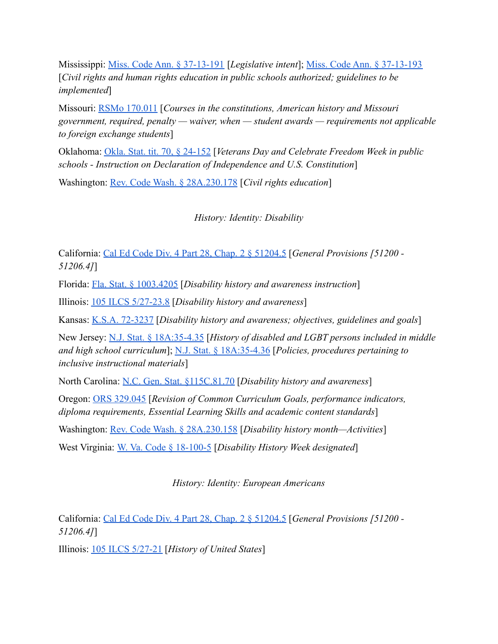Mississippi: [Miss. Code Ann. § 37-13-191](https://law.justia.com/codes/mississippi/2019/title-37/chapter-13/civil-rights-and-human-rights-education/section-37-13-191/) [*Legislative intent*]; [Miss. Code Ann. § 37-13-193](https://law.justia.com/codes/mississippi/2019/title-37/chapter-13/civil-rights-and-human-rights-education/section-37-13-193/) [*Civil rights and human rights education in public schools authorized; guidelines to be implemented*]

Missouri: [RSMo 170.011](https://revisor.mo.gov/main/OneSection.aspx?section=170.011&bid=33180&hl=) [*Courses in the constitutions, American history and Missouri government, required, penalty — waiver, when — student awards — requirements not applicable to foreign exchange students*]

Oklahoma: [Okla. Stat. tit. 70, § 24-152](https://casetext.com/statute/oklahoma-statutes/title-70-schools/70-24-152-veterans-day-and-celebrate-freedom-week-in-public-schools-instruction-on-declaration-of-independence-and-us-constitution) [*Veterans Day and Celebrate Freedom Week in public schools - Instruction on Declaration of Independence and U.S. Constitution*]

Washington: [Rev. Code Wash. § 28A.230.178](https://app.leg.wa.gov/RCW/default.aspx?cite=28A.230.178) [*Civil rights education*]

*History: Identity: Disability*

California: [Cal Ed Code Div. 4 Part 28, Chap. 2 §](https://leginfo.legislature.ca.gov/faces/codes_displaySection.xhtml?lawCode=EDC§ionNum=51204.5.) 51204.5 [*General Provisions [51200 - 51206.4]*]

Florida: [Fla. Stat. § 1003.4205](http://www.leg.state.fl.us/Statutes/index.cfm?App_mode=Display_Statute&Search_String=&URL=1000-1099/1003/Sections/1003.4205.html) [*Disability history and awareness instruction*]

Illinois: [105 ILCS 5/27-23.8](https://ilga.gov/legislation/ilcs/fulltext.asp?DocName=010500050K27-23.8) [*Disability history and awareness*]

Kansas: [K.S.A. 72-3237](https://www.ksrevisor.org/statutes/chapters/ch72/072_032_0037.html) [*Disability history and awareness; objectives, guidelines and goals*]

New Jersey: [N.J. Stat. § 18A:35-4.35](https://casetext.com/statute/new-jersey-statutes/title-18a-education/chapter-18a35-2-year-course-of-study-in-history/section-18a35-435-history-of-disabled-and-lgbt-persons-included-in-middle-and-high-school-curriculum) [*History of disabled and LGBT persons included in middle and high school curriculum*]; [N.J. Stat. § 18A:35-4.36](https://casetext.com/statute/new-jersey-statutes/title-18a-education/chapter-18a35-2-year-course-of-study-in-history/section-18a35-436-policies-procedures-pertaining-to-inclusive-instructional-materials) [*Policies, procedures pertaining to inclusive instructional materials*]

North Carolina: [N.C. Gen. Stat. §115C.81.70](https://www.ncleg.gov/EnactedLegislation/Statutes/PDF/BySection/Chapter_115C/GS_115C-81.70.pdf) [*Disability history and awareness*]

Oregon: [ORS 329.045](https://www.oregonlaws.org/ors/329.045) [*Revision of Common Curriculum Goals, performance indicators, diploma requirements, Essential Learning Skills and academic content standards*]

Washington: [Rev. Code Wash. § 28A.230.158](https://app.leg.wa.gov/RCW/default.aspx?cite=28A.230.158) [*Disability history month—Activities*]

West Virginia: [W. Va. Code § 18-100-5](https://code.wvlegislature.gov/18-10O-5/) [*Disability History Week designated*]

*History: Identity: European Americans*

California: [Cal Ed Code Div. 4 Part 28, Chap. 2 §](https://leginfo.legislature.ca.gov/faces/codes_displaySection.xhtml?lawCode=EDC§ionNum=51204.5.) 51204.5 [*General Provisions [51200 - 51206.4]*]

Illinois: [105 ILCS 5/27-21](https://www.ilga.gov/legislation/ilcs/fulltext.asp?DocName=010500050K27-21) [*History of United States*]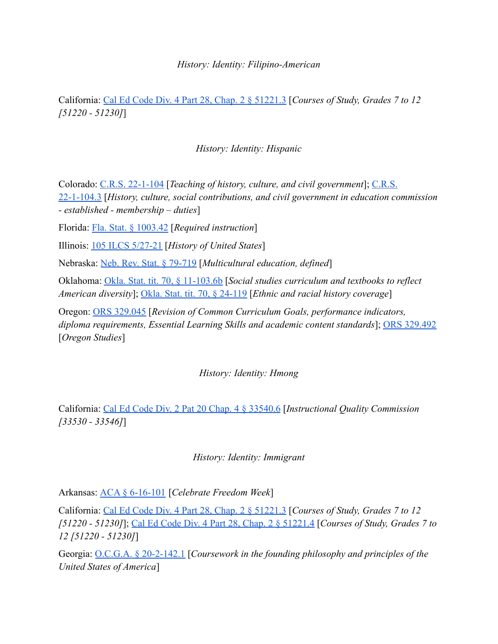#### *History: Identity: Filipino-American*

California: [Cal Ed Code Div. 4 Part 28, Chap. 2 §](https://leginfo.legislature.ca.gov/faces/codes_displaySection.xhtml?lawCode=EDC§ionNum=51221.3.) 51221.3 [*Courses of Study, Grades 7 to 12 [51220 - 51230]*]

#### *History: Identity: Hispanic*

Colorado: [C.R.S. 22-1-104](https://legiscan.com/CO/text/SB067/id/2384645/Colorado-2021-SB067-Enrolled.pdf) [*Teaching of history, culture, and civil government*]; [C.R.S.](https://leg.colorado.gov/sites/default/files/images/olls/crs2020-title-22.pdf) [22-1-104.3](https://leg.colorado.gov/sites/default/files/images/olls/crs2020-title-22.pdf) [*History, culture, social contributions, and civil government in education commission - established - membership – duties*]

Florida: [Fla. Stat. § 1003.42](http://www.leg.state.fl.us/Statutes/index.cfm?App_mode=Display_Statute&Search_String=&URL=1000-1099/1003/Sections/1003.42.html) [*Required instruction*]

Illinois: [105 ILCS 5/27-21](https://www.ilga.gov/legislation/ilcs/fulltext.asp?DocName=010500050K27-21) [*History of United States*]

Nebraska: [Neb. Rev. Stat. § 79-719](https://nebraskalegislature.gov/laws/statutes.php?statute=79-719) [*Multicultural education, defined*]

Oklahoma: [Okla. Stat. tit. 70, § 11-103.6b](https://casetext.com/statute/oklahoma-statutes/title-70-schools/70-11-1036b-social-studies-curriculum-and-textbooks-to-reflect-american-diversity) [*Social studies curriculum and textbooks to reflect American diversity*]; [Okla. Stat. tit. 70, § 24-119](https://casetext.com/statute/oklahoma-statutes/title-70-schools/70-24-119-ethnic-and-racial-history-coverage) [*Ethnic and racial history coverage*]

Oregon: [ORS 329.045](https://www.oregonlaws.org/ors/329.045) [*Revision of Common Curriculum Goals, performance indicators, diploma requirements, Essential Learning Skills and academic content standards*]; [ORS 329.492](https://www.oregonlaws.org/ors/329.492) [*Oregon Studies*]

#### *History: Identity: Hmong*

California: [Cal Ed Code Div. 2 Pat 20 Chap. 4 § 33540.6](https://leginfo.legislature.ca.gov/faces/codes_displaySection.xhtml?lawCode=EDC§ionNum=33540.6.) [*Instructional Quality Commission [33530 - 33546]*]

#### *History: Identity: Immigrant*

Arkansas: [ACA § 6-16-101](https://codes.findlaw.com/ar/title-6-education/ar-code-sect-6-16-101.html) [*Celebrate Freedom Week*]

California: [Cal Ed Code Div. 4 Part 28, Chap. 2 §](https://leginfo.legislature.ca.gov/faces/codes_displaySection.xhtml?lawCode=EDC§ionNum=51221.3.) 51221.3 [*Courses of Study, Grades 7 to 12 [51220 - 51230]*]; [Cal Ed Code Div. 4 Part 28, Chap.](https://leginfo.legislature.ca.gov/faces/codes_displaySection.xhtml?lawCode=EDC§ionNum=51221.4.) 2 § 51221.4 [*Courses of Study, Grades 7 to 12 [51220 - 51230]*]

Georgia: [O.C.G.A. § 20-2-142.1](https://law.justia.com/codes/georgia/2019/title-20/chapter-2/article-6/part-2/section-20-2-142-1/) [*Coursework in the founding philosophy and principles of the United States of America*]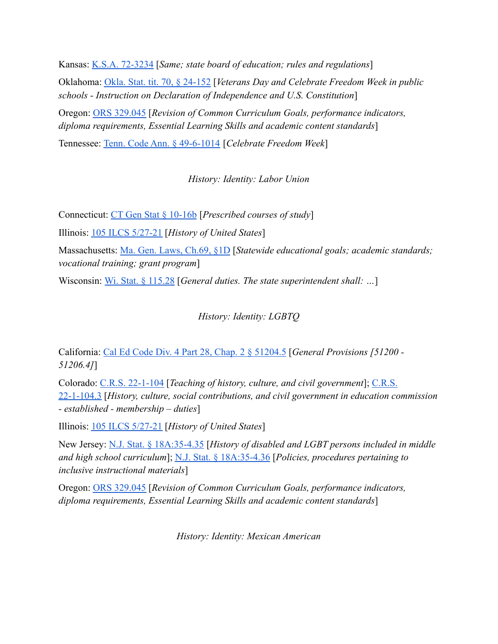Kansas: [K.S.A. 72-3234](https://www.ksrevisor.org/statutes/chapters/ch72/072_032_0034.html) [*Same; state board of education; rules and regulations*] Oklahoma: [Okla. Stat. tit. 70, § 24-152](https://casetext.com/statute/oklahoma-statutes/title-70-schools/70-24-152-veterans-day-and-celebrate-freedom-week-in-public-schools-instruction-on-declaration-of-independence-and-us-constitution) [*Veterans Day and Celebrate Freedom Week in public schools - Instruction on Declaration of Independence and U.S. Constitution*] Oregon: [ORS 329.045](https://www.oregonlaws.org/ors/329.045) [*Revision of Common Curriculum Goals, performance indicators, diploma requirements, Essential Learning Skills and academic content standards*]

Tennessee: [Tenn. Code Ann. § 49-6-1014](https://casetext.com/statute/tennessee-code/title-49-education/chapter-6-elementary-and-secondary-education/part-10-curriculum-generally/section-49-6-1014-celebrate-freedom-week) [*Celebrate Freedom Week*]

*History: Identity: Labor Union*

Connecticut: [CT Gen Stat § 10-16b](https://www.lawserver.com/law/state/connecticut/ct-laws/connecticut_statutes_10-16b) [*Prescribed courses of study*]

Illinois: [105 ILCS 5/27-21](https://www.ilga.gov/legislation/ilcs/fulltext.asp?DocName=010500050K27-21) [*History of United States*]

Massachusetts: [Ma. Gen. Laws, Ch.69, §1D](https://malegislature.gov/Laws/GeneralLaws/PartI/TitleXII/Chapter69/Section1D) [*Statewide educational goals; academic standards; vocational training; grant program*]

Wisconsin: [Wi. Stat. § 115.28](https://docs.legis.wisconsin.gov/statutes/statutes/115/ii/28) [*General duties. The state superintendent shall: ...*]

## *History: Identity: LGBTQ*

California: [Cal Ed Code Div. 4 Part 28, Chap. 2 §](https://leginfo.legislature.ca.gov/faces/codes_displaySection.xhtml?lawCode=EDC§ionNum=51204.5.) 51204.5 [*General Provisions [51200 - 51206.4]*]

Colorado: [C.R.S. 22-1-104](https://legiscan.com/CO/text/SB067/id/2384645/Colorado-2021-SB067-Enrolled.pdf) [*Teaching of history, culture, and civil government*]; [C.R.S.](https://leg.colorado.gov/sites/default/files/images/olls/crs2020-title-22.pdf) [22-1-104.3](https://leg.colorado.gov/sites/default/files/images/olls/crs2020-title-22.pdf) [*History, culture, social contributions, and civil government in education commission - established - membership – duties*]

Illinois: [105 ILCS 5/27-21](https://www.ilga.gov/legislation/ilcs/fulltext.asp?DocName=010500050K27-21) [*History of United States*]

New Jersey: [N.J. Stat. § 18A:35-4.35](https://casetext.com/statute/new-jersey-statutes/title-18a-education/chapter-18a35-2-year-course-of-study-in-history/section-18a35-435-history-of-disabled-and-lgbt-persons-included-in-middle-and-high-school-curriculum) [*History of disabled and LGBT persons included in middle and high school curriculum*]; [N.J. Stat. § 18A:35-4.36](https://casetext.com/statute/new-jersey-statutes/title-18a-education/chapter-18a35-2-year-course-of-study-in-history/section-18a35-436-policies-procedures-pertaining-to-inclusive-instructional-materials) [*Policies, procedures pertaining to inclusive instructional materials*]

Oregon: [ORS 329.045](https://www.oregonlaws.org/ors/329.045) [*Revision of Common Curriculum Goals, performance indicators, diploma requirements, Essential Learning Skills and academic content standards*]

*History: Identity: Mexican American*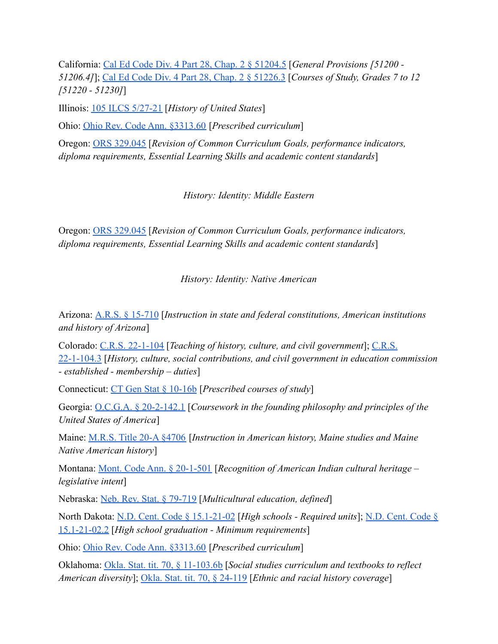California: [Cal Ed Code Div. 4 Part 28, Chap. 2 § 51204.5](https://leginfo.legislature.ca.gov/faces/codes_displaySection.xhtml?lawCode=EDC§ionNum=51204.5.) [*General Provisions [51200 - 51206.4]*]; [Cal Ed Code Div. 4 Part 28, Chap. 2 § 51226.3](https://leginfo.legislature.ca.gov/faces/codes_displaySection.xhtml?lawCode=EDC§ionNum=51226.3.) [*Courses of Study, Grades 7 to 12 [51220 - 51230]*]

Illinois: [105 ILCS 5/27-21](https://www.ilga.gov/legislation/ilcs/fulltext.asp?DocName=010500050K27-21) [*History of United States*]

Ohio: [Ohio Rev. Code Ann. §3313.60](https://codes.ohio.gov/ohio-revised-code/section-3313.60) [*Prescribed curriculum*]

Oregon: [ORS 329.045](https://www.oregonlaws.org/ors/329.045) [*Revision of Common Curriculum Goals, performance indicators, diploma requirements, Essential Learning Skills and academic content standards*]

*History: Identity: Middle Eastern*

Oregon: [ORS 329.045](https://www.oregonlaws.org/ors/329.045) [*Revision of Common Curriculum Goals, performance indicators, diploma requirements, Essential Learning Skills and academic content standards*]

*History: Identity: Native American*

Arizona: [A.R.S. § 15-710](https://www.azleg.gov/ars/15/00710.htm) [*Instruction in state and federal constitutions, American institutions and history of Arizona*]

Colorado: [C.R.S. 22-1-104](https://legiscan.com/CO/text/SB067/id/2384645/Colorado-2021-SB067-Enrolled.pdf) [*Teaching of history, culture, and civil government*]; [C.R.S.](https://leg.colorado.gov/sites/default/files/images/olls/crs2020-title-22.pdf) [22-1-104.3](https://leg.colorado.gov/sites/default/files/images/olls/crs2020-title-22.pdf) [*History, culture, social contributions, and civil government in education commission - established - membership – duties*]

Connecticut: [CT Gen Stat § 10-16b](https://www.lawserver.com/law/state/connecticut/ct-laws/connecticut_statutes_10-16b) [*Prescribed courses of study*]

Georgia: [O.C.G.A. § 20-2-142.1](https://law.justia.com/codes/georgia/2019/title-20/chapter-2/article-6/part-2/section-20-2-142-1/) [*Coursework in the founding philosophy and principles of the United States of America*]

Maine: [M.R.S. Title 20-A §4706](http://www.mainelegislature.org/legis/statutes/20-a/title20-Asec4706.html) [*Instruction in American history, Maine studies and Maine Native American history*]

Montana: [Mont. Code Ann. § 20-1-501](https://leg.mt.gov/bills/mca/title_0200/chapter_0010/part_0050/section_0010/0200-0010-0050-0010.html) [*Recognition of American Indian cultural heritage – legislative intent*]

Nebraska: [Neb. Rev. Stat. § 79-719](https://nebraskalegislature.gov/laws/statutes.php?statute=79-719) [*Multicultural education, defined*]

North Dakota: [N.D. Cent. Code § 15.1-21-02](https://casetext.com/statute/north-dakota-century-code/title-151-elementary-and-secondary-education/chapter-151-21-curriculum-and-testing/section-151-21-02-effective-812021-high-schools-required-units) [*High schools - Required units*]; [N.D. Cent. Code §](https://casetext.com/statute/north-dakota-century-code/title-151-elementary-and-secondary-education/chapter-151-21-curriculum-and-testing/section-151-21-022-effective-812025-high-school-graduation-minimum-requirements) [15.1-21-02.2](https://casetext.com/statute/north-dakota-century-code/title-151-elementary-and-secondary-education/chapter-151-21-curriculum-and-testing/section-151-21-022-effective-812025-high-school-graduation-minimum-requirements) [*High school graduation - Minimum requirements*]

Ohio: [Ohio Rev. Code Ann. §3313.60](https://codes.ohio.gov/ohio-revised-code/section-3313.60) [*Prescribed curriculum*]

Oklahoma: [Okla. Stat. tit. 70, § 11-103.6b](https://casetext.com/statute/oklahoma-statutes/title-70-schools/70-11-1036b-social-studies-curriculum-and-textbooks-to-reflect-american-diversity) [*Social studies curriculum and textbooks to reflect American diversity*]; [Okla. Stat. tit. 70, § 24-119](https://casetext.com/statute/oklahoma-statutes/title-70-schools/70-24-119-ethnic-and-racial-history-coverage) [*Ethnic and racial history coverage*]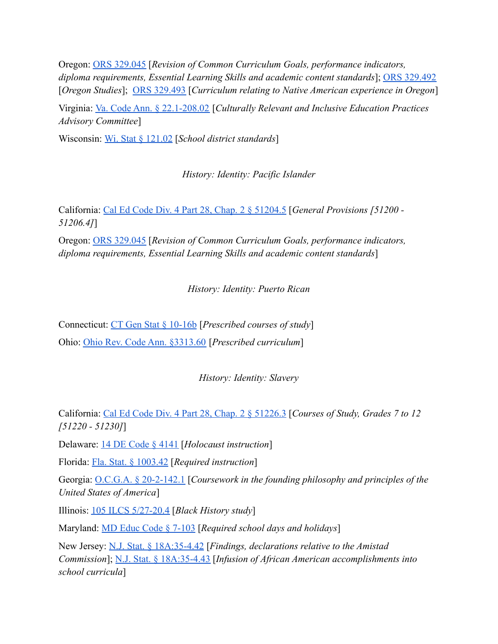Oregon: [ORS 329.045](https://www.oregonlaws.org/ors/329.045) [*Revision of Common Curriculum Goals, performance indicators, diploma requirements, Essential Learning Skills and academic content standards*]; [ORS 329.492](https://www.oregonlaws.org/ors/329.492) [*Oregon Studies*]; [ORS 329.493](https://www.oregonlaws.org/ors/329.493) [*Curriculum relating to Native American experience in Oregon*]

Virginia: [Va. Code Ann. § 22.1-208.02](https://law.lis.virginia.gov/vacode/title22.1/chapter13/section22.1-208.02/) [*Culturally Relevant and Inclusive Education Practices Advisory Committee*]

Wisconsin: [Wi. Stat § 121.02](https://docs.legis.wisconsin.gov/statutes/statutes/121/ii/02) [*School district standards*]

*History: Identity: Pacific Islander*

California: [Cal Ed Code Div. 4 Part 28, Chap. 2 §](https://leginfo.legislature.ca.gov/faces/codes_displaySection.xhtml?lawCode=EDC§ionNum=51204.5.) 51204.5 [*General Provisions [51200 - 51206.4]*]

Oregon: [ORS 329.045](https://www.oregonlaws.org/ors/329.045) [*Revision of Common Curriculum Goals, performance indicators, diploma requirements, Essential Learning Skills and academic content standards*]

*History: Identity: Puerto Rican*

Connecticut: [CT Gen Stat § 10-16b](https://www.lawserver.com/law/state/connecticut/ct-laws/connecticut_statutes_10-16b) [*Prescribed courses of study*] Ohio: [Ohio Rev. Code Ann. §3313.60](https://codes.ohio.gov/ohio-revised-code/section-3313.60) [*Prescribed curriculum*]

*History: Identity: Slavery*

California: [Cal Ed Code Div. 4 Part 28, Chap. 2 §](https://leginfo.legislature.ca.gov/faces/codes_displaySection.xhtml?lawCode=EDC§ionNum=51226.3.) 51226.3 [*Courses of Study, Grades 7 to 12 [51220 - 51230]*]

Delaware: [14 DE Code § 4141](https://delcode.delaware.gov/title14/c041/sc01/index.html#4141.) [*Holocaust instruction*]

Florida: [Fla. Stat. § 1003.42](http://www.leg.state.fl.us/Statutes/index.cfm?App_mode=Display_Statute&Search_String=&URL=1000-1099/1003/Sections/1003.42.html) [*Required instruction*]

Georgia: [O.C.G.A. § 20-2-142.1](https://law.justia.com/codes/georgia/2019/title-20/chapter-2/article-6/part-2/section-20-2-142-1/) [*Coursework in the founding philosophy and principles of the United States of America*]

Illinois: [105 ILCS 5/27-20.4](https://www.ilga.gov/legislation/ilcs/fulltext.asp?DocName=010500050K27-20.4) [*Black History study*]

Maryland: [MD Educ Code § 7-103](https://casetext.com/statute/code-of-maryland/article-education/division-ii-elementary-and-secondary-education/title-7-public-schools/subtitle-1-general-provisions/section-7-103-required-school-days-and-holidays) [*Required school days and holidays*]

New Jersey: [N.J. Stat. § 18A:35-4.42](https://casetext.com/statute/new-jersey-statutes/title-18a-education/chapter-18a35-2-year-course-of-study-in-history/section-18a35-442-findings-declarations-relative-to-the-amistad-commission) [*Findings, declarations relative to the Amistad Commission*]; [N.J. Stat. § 18A:35-4.43](https://casetext.com/statute/new-jersey-statutes/title-18a-education/chapter-18a35-2-year-course-of-study-in-history/section-18a35-443-infusion-of-african-american-accomplishments-into-school-curricula) [*Infusion of African American accomplishments into school curricula*]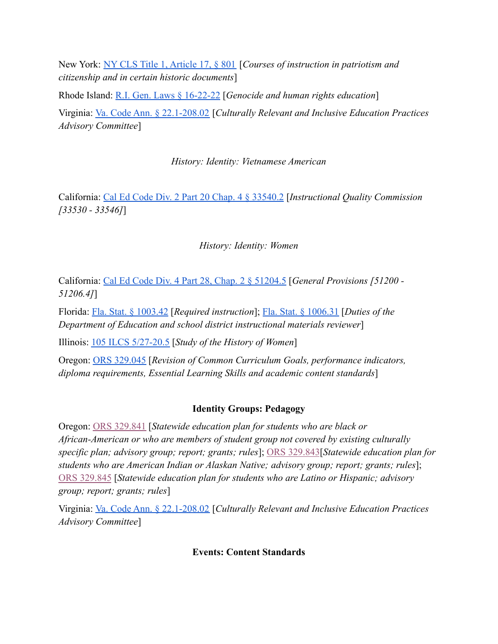New York: [NY CLS Title 1, Article 17, § 801](https://www.nysenate.gov/legislation/laws/EDN/801) [*Courses of instruction in patriotism and citizenship and in certain historic documents*]

Rhode Island: [R.I. Gen. Laws § 16-22-22](http://webserver.rilegislature.gov/Statutes/TITLE16/16-22/16-22-22.HTM) [*Genocide and human rights education*] Virginia: [Va. Code Ann. § 22.1-208.02](https://law.lis.virginia.gov/vacode/title22.1/chapter13/section22.1-208.02/) [*Culturally Relevant and Inclusive Education Practices Advisory Committee*]

*History: Identity: Vietnamese American*

California: [Cal Ed Code Div. 2 Part 20 Chap. 4 § 33540.2](https://leginfo.legislature.ca.gov/faces/codes_displaySection.xhtml?lawCode=EDC§ionNum=33540.2.) [*Instructional Quality Commission [33530 - 33546]*]

# *History: Identity: Women*

California: [Cal Ed Code Div. 4 Part 28, Chap. 2 §](https://leginfo.legislature.ca.gov/faces/codes_displaySection.xhtml?lawCode=EDC§ionNum=51204.5.) 51204.5 [*General Provisions [51200 - 51206.4]*]

Florida: [Fla. Stat. § 1003.42](http://www.leg.state.fl.us/Statutes/index.cfm?App_mode=Display_Statute&Search_String=&URL=1000-1099/1003/Sections/1003.42.html) [*Required instruction*]; [Fla. Stat. § 1006.31](http://www.leg.state.fl.us/Statutes/index.cfm?App_mode=Display_Statute&Search_String=&URL=1000-1099/1006/Sections/1006.31.html) [*Duties of the Department of Education and school district instructional materials reviewer*]

Illinois: [105 ILCS 5/27-20.5](https://www.ilga.gov/legislation/ilcs/documents/010500050K27-20.5.htm) [*Study of the History of Women*]

Oregon: [ORS 329.045](https://www.oregonlaws.org/ors/329.045) [*Revision of Common Curriculum Goals, performance indicators, diploma requirements, Essential Learning Skills and academic content standards*]

# **Identity Groups: Pedagogy**

Oregon: [ORS 329.841](https://oregon.public.law/statutes/ors_329.841) [*Statewide education plan for students who are black or African-American or who are members of student group not covered by existing culturally specific plan; advisory group; report; grants; rules*]; [ORS 329.843](https://oregon.public.law/statutes/ors_329.843)[*Statewide education plan for students who are American Indian or Alaskan Native; advisory group; report; grants; rules*]; [ORS 329.845](https://oregon.public.law/statutes/ors_329.845) [*Statewide education plan for students who are Latino or Hispanic; advisory group; report; grants; rules*]

Virginia: [Va. Code Ann. § 22.1-208.02](https://law.lis.virginia.gov/vacode/title22.1/chapter13/section22.1-208.02/) [*Culturally Relevant and Inclusive Education Practices Advisory Committee*]

## **Events: Content Standards**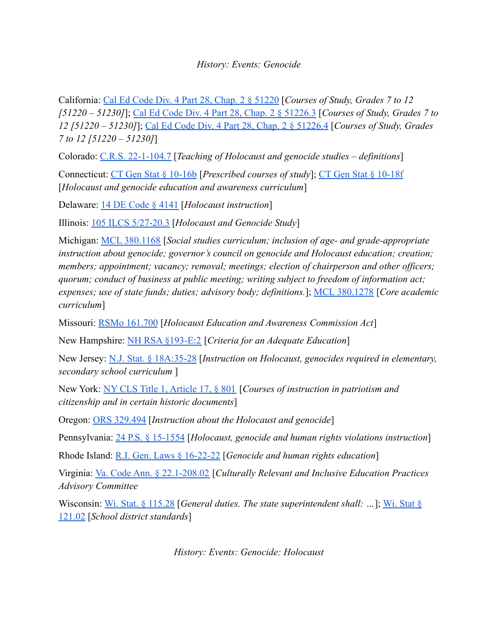## *History: Events: Genocide*

California: [Cal Ed Code Div. 4 Part 28, Chap. 2 §](https://leginfo.legislature.ca.gov/faces/codes_displaySection.xhtml?lawCode=EDC§ionNum=51220.) 51220 [*Courses of Study, Grades 7 to 12 [51220 – 51230]*]; [Cal Ed Code Div. 4 Part 28, Chap.](https://leginfo.legislature.ca.gov/faces/codes_displaySection.xhtml?lawCode=EDC§ionNum=51226.3.) 2 § 51226.3 [*Courses of Study, Grades 7 to 12 [51220 – 51230]*]; [Cal Ed Code Div. 4 Part 28, Chap.](https://leginfo.legislature.ca.gov/faces/codes_displaySection.xhtml?lawCode=EDC§ionNum=51226.4.) 2 § 51226.4 [*Courses of Study, Grades 7 to 12 [51220 – 51230]*]

Colorado: [C.R.S. 22-1-104.7](https://leg.colorado.gov/sites/default/files/images/olls/crs2020-title-22.pdf) [*Teaching of Holocaust and genocide studies – definitions*]

Connecticut: [CT Gen Stat § 10-16b](https://www.lawserver.com/law/state/connecticut/ct-laws/connecticut_statutes_10-16b) [*Prescribed courses of study*]; [CT Gen Stat § 10-18f](https://www.lawserver.com/law/state/connecticut/ct-laws/connecticut_statutes_10-18f) [*Holocaust and genocide education and awareness curriculum*]

Delaware: [14 DE Code § 4141](https://delcode.delaware.gov/title14/c041/sc01/index.html#4141.) [*Holocaust instruction*]

Illinois: [105 ILCS 5/27-20.3](https://www.ilga.gov/legislation/ilcs/fulltext.asp?DocName=010500050K27-20.3) [*Holocaust and Genocide Study*]

Michigan: [MCL 380.1168](http://www.legislature.mi.gov/(S(wq4pqgmxgng5tgk2ti4aj4xh))/mileg.aspx?page=getObject&objectName=mcl-380-1168) [*Social studies curriculum; inclusion of age- and grade-appropriate instruction about genocide; governor's council on genocide and Holocaust education; creation; members; appointment; vacancy; removal; meetings; election of chairperson and other officers; quorum; conduct of business at public meeting; writing subject to freedom of information act; expenses; use of state funds; duties; advisory body; definitions.*]; [MCL 380.1278](http://www.legislature.mi.gov/(S(wq4pqgmxgng5tgk2ti4aj4xh))/mileg.aspx?page=getObject&objectname=mcl-380-1278) [*Core academic curriculum*]

Missouri: [RSMo 161.700](https://revisor.mo.gov/main/OneSection.aspx?section=161.700&bid=47843&hl=) [*Holocaust Education and Awareness Commission Act*]

New Hampshire: [NH RSA §193-E:2](http://www.gencourt.state.nh.us/rsa/html/XV/193-E/193-E-2.htm) [*Criteria for an Adequate Education*]

New Jersey: [N.J. Stat. § 18A:35-28](https://njlaw.rutgers.edu/collections/njstats/showsect.php?title=18a&chapter=35§ion=28&actn=getsect) [*Instruction on Holocaust, genocides required in elementary, secondary school curriculum* ]

New York: [NY CLS Title 1, Article 17, § 801](https://www.nysenate.gov/legislation/laws/EDN/801) [*Courses of instruction in patriotism and citizenship and in certain historic documents*]

Oregon: [ORS 329.494](https://www.oregonlaws.org/ors/329.494) [*Instruction about the Holocaust and genocide*]

Pennsylvania: [24 P.S. § 15-1554](https://codes.findlaw.com/pa/title-24-ps-education/pa-st-sect-24-15-1554.html) [*Holocaust, genocide and human rights violations instruction*]

Rhode Island: [R.I. Gen. Laws § 16-22-22](http://webserver.rilegislature.gov/Statutes/TITLE16/16-22/16-22-22.HTM) [*Genocide and human rights education*]

Virginia: [Va. Code Ann. § 22.1-208.02](https://law.lis.virginia.gov/vacode/title22.1/chapter13/section22.1-208.02/) [*Culturally Relevant and Inclusive Education Practices Advisory Committee*

Wisconsin: [Wi. Stat. § 115.28](https://docs.legis.wisconsin.gov/statutes/statutes/115/ii/28) [*General duties. The state superintendent shall: ...*]; [Wi. Stat §](https://docs.legis.wisconsin.gov/statutes/statutes/121/ii/02) [121.02](https://docs.legis.wisconsin.gov/statutes/statutes/121/ii/02) [*School district standards*]

*History: Events: Genocide: Holocaust*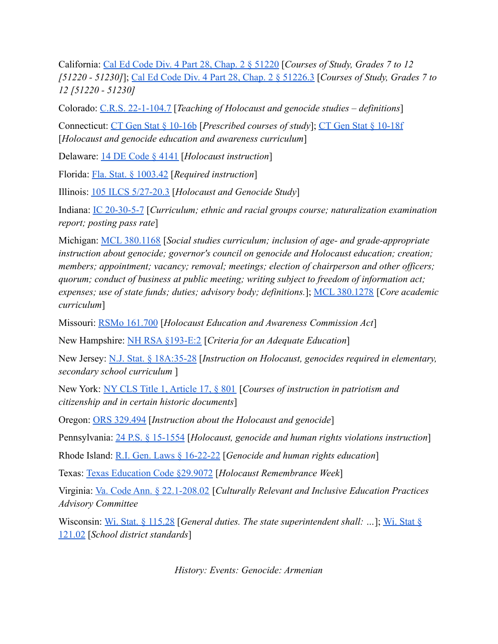California: [Cal Ed Code Div. 4 Part 28, Chap. 2 § 51220](https://leginfo.legislature.ca.gov/faces/codes_displaySection.xhtml?lawCode=EDC§ionNum=51220.) [*Courses of Study, Grades 7 to 12 [51220 - 51230]*]; [Cal Ed Code Div. 4 Part 28, Chap.](https://leginfo.legislature.ca.gov/faces/codes_displaySection.xhtml?lawCode=EDC§ionNum=51226.3.) 2 § 51226.3 [*Courses of Study, Grades 7 to 12 [51220 - 51230]*

Colorado: [C.R.S. 22-1-104.7](https://leg.colorado.gov/sites/default/files/images/olls/crs2020-title-22.pdf) [*Teaching of Holocaust and genocide studies – definitions*]

Connecticut: [CT Gen Stat § 10-16b](https://www.lawserver.com/law/state/connecticut/ct-laws/connecticut_statutes_10-16b) [*Prescribed courses of study*]; [CT Gen Stat § 10-18f](https://www.lawserver.com/law/state/connecticut/ct-laws/connecticut_statutes_10-18f) [*Holocaust and genocide education and awareness curriculum*]

Delaware: [14 DE Code § 4141](https://delcode.delaware.gov/title14/c041/sc01/index.html#4141.) [*Holocaust instruction*]

Florida: [Fla. Stat. § 1003.42](http://www.leg.state.fl.us/Statutes/index.cfm?App_mode=Display_Statute&Search_String=&URL=1000-1099/1003/Sections/1003.42.html) [*Required instruction*]

Illinois: [105 ILCS 5/27-20.3](https://www.ilga.gov/legislation/ilcs/fulltext.asp?DocName=010500050K27-20.3) [*Holocaust and Genocide Study*]

Indiana: [IC 20-30-5-7](http://iga.in.gov/legislative/laws/2020/ic/titles/020#20-30-5-7-b) [*Curriculum; ethnic and racial groups course; naturalization examination report; posting pass rate*]

Michigan: [MCL 380.1168](http://www.legislature.mi.gov/(S(wq4pqgmxgng5tgk2ti4aj4xh))/mileg.aspx?page=getObject&objectName=mcl-380-1168) [*Social studies curriculum; inclusion of age- and grade-appropriate instruction about genocide; governor's council on genocide and Holocaust education; creation; members; appointment; vacancy; removal; meetings; election of chairperson and other officers; quorum; conduct of business at public meeting; writing subject to freedom of information act; expenses; use of state funds; duties; advisory body; definitions.*]; [MCL 380.1278](http://www.legislature.mi.gov/(S(wq4pqgmxgng5tgk2ti4aj4xh))/mileg.aspx?page=getObject&objectname=mcl-380-1278) [*Core academic curriculum*]

Missouri: [RSMo 161.700](https://revisor.mo.gov/main/OneSection.aspx?section=161.700&bid=47843&hl=) [*Holocaust Education and Awareness Commission Act*]

New Hampshire: [NH RSA §193-E:2](http://www.gencourt.state.nh.us/rsa/html/XV/193-E/193-E-2.htm) [*Criteria for an Adequate Education*]

New Jersey: [N.J. Stat. § 18A:35-28](https://njlaw.rutgers.edu/collections/njstats/showsect.php?title=18a&chapter=35§ion=28&actn=getsect) [*Instruction on Holocaust, genocides required in elementary, secondary school curriculum* ]

New York: [NY CLS Title 1, Article 17, § 801](https://www.nysenate.gov/legislation/laws/EDN/801) [*Courses of instruction in patriotism and citizenship and in certain historic documents*]

Oregon: [ORS 329.494](https://www.oregonlaws.org/ors/329.494) [*Instruction about the Holocaust and genocide*]

Pennsylvania: [24 P.S. § 15-1554](https://codes.findlaw.com/pa/title-24-ps-education/pa-st-sect-24-15-1554.html) [*Holocaust, genocide and human rights violations instruction*]

Rhode Island: [R.I. Gen. Laws § 16-22-22](http://webserver.rilegislature.gov/Statutes/TITLE16/16-22/16-22-22.HTM) [*Genocide and human rights education*]

Texas: [Texas Education Code §29.9072](https://statutes.capitol.texas.gov/Docs/ED/htm/ED.29.htm#29.9072) [*Holocaust Remembrance Week*]

Virginia: [Va. Code Ann. § 22.1-208.02](https://law.lis.virginia.gov/vacode/title22.1/chapter13/section22.1-208.02/) [*Culturally Relevant and Inclusive Education Practices Advisory Committee*

Wisconsin: [Wi. Stat. § 115.28](https://docs.legis.wisconsin.gov/statutes/statutes/115/ii/28) [*General duties. The state superintendent shall: …*]; [Wi. Stat §](https://docs.legis.wisconsin.gov/statutes/statutes/121/ii/02) [121.02](https://docs.legis.wisconsin.gov/statutes/statutes/121/ii/02) [*School district standards*]

*History: Events: Genocide: Armenian*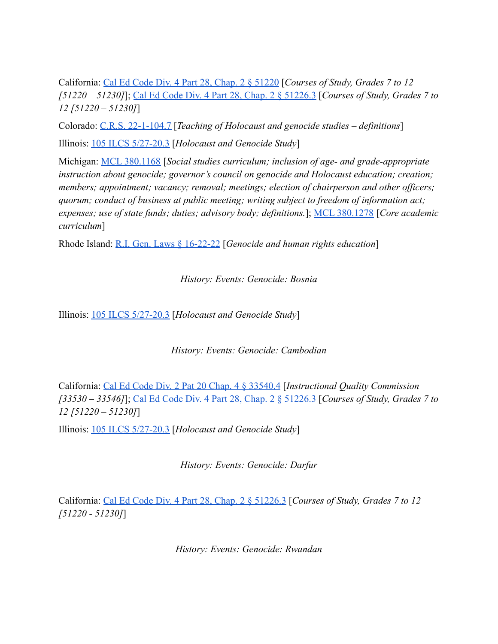California: [Cal Ed Code Div. 4 Part 28, Chap. 2 §](https://leginfo.legislature.ca.gov/faces/codes_displaySection.xhtml?lawCode=EDC§ionNum=51220.) 51220 [*Courses of Study, Grades 7 to 12 [51220 – 51230]*]; [Cal Ed Code Div. 4 Part 28, Chap.](https://leginfo.legislature.ca.gov/faces/codes_displaySection.xhtml?lawCode=EDC§ionNum=51226.3.) 2 § 51226.3 [*Courses of Study, Grades 7 to 12 [51220 – 51230]*]

Colorado: [C.R.S. 22-1-104.7](https://leg.colorado.gov/sites/default/files/images/olls/crs2020-title-22.pdf) [*Teaching of Holocaust and genocide studies – definitions*] Illinois: [105 ILCS 5/27-20.3](https://www.ilga.gov/legislation/ilcs/fulltext.asp?DocName=010500050K27-20.3) [*Holocaust and Genocide Study*]

Michigan: [MCL 380.1168](http://www.legislature.mi.gov/(S(wq4pqgmxgng5tgk2ti4aj4xh))/mileg.aspx?page=getObject&objectName=mcl-380-1168) [*Social studies curriculum; inclusion of age- and grade-appropriate instruction about genocide; governor's council on genocide and Holocaust education; creation; members; appointment; vacancy; removal; meetings; election of chairperson and other officers; quorum; conduct of business at public meeting; writing subject to freedom of information act; expenses; use of state funds; duties; advisory body; definitions.*]; [MCL 380.1278](http://www.legislature.mi.gov/(S(wq4pqgmxgng5tgk2ti4aj4xh))/mileg.aspx?page=getObject&objectname=mcl-380-1278) [*Core academic curriculum*]

Rhode Island: [R.I. Gen. Laws § 16-22-22](http://webserver.rilegislature.gov/Statutes/TITLE16/16-22/16-22-22.HTM) [*Genocide and human rights education*]

*History: Events: Genocide: Bosnia*

Illinois: [105 ILCS 5/27-20.3](https://www.ilga.gov/legislation/ilcs/fulltext.asp?DocName=010500050K27-20.3) [*Holocaust and Genocide Study*]

*History: Events: Genocide: Cambodian*

California: [Cal Ed Code Div. 2 Pat 20 Chap. 4 § 33540.4](https://leginfo.legislature.ca.gov/faces/codes_displaySection.xhtml?lawCode=EDC§ionNum=33540.4.) [*Instructional Quality Commission [33530 – 33546]*]; [Cal Ed Code Div. 4 Part 28, Chap.](https://leginfo.legislature.ca.gov/faces/codes_displaySection.xhtml?lawCode=EDC§ionNum=51226.3.) 2 § 51226.3 [*Courses of Study, Grades 7 to 12 [51220 – 51230]*]

Illinois: [105 ILCS 5/27-20.3](https://www.ilga.gov/legislation/ilcs/fulltext.asp?DocName=010500050K27-20.3) [*Holocaust and Genocide Study*]

*History: Events: Genocide: Darfur*

California: [Cal Ed Code Div. 4 Part 28, Chap. 2 §](https://leginfo.legislature.ca.gov/faces/codes_displaySection.xhtml?lawCode=EDC§ionNum=51226.3.) 51226.3 [*Courses of Study, Grades 7 to 12 [51220 - 51230]*]

*History: Events: Genocide: Rwandan*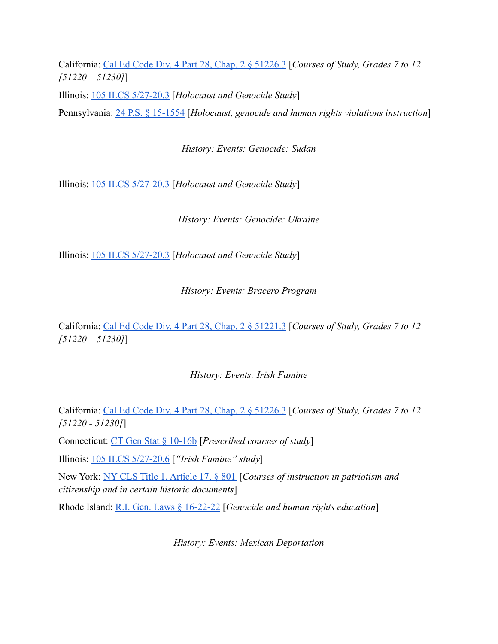California: [Cal Ed Code Div. 4 Part 28, Chap. 2 § 51226.3](https://leginfo.legislature.ca.gov/faces/codes_displaySection.xhtml?lawCode=EDC§ionNum=51226.3.) [*Courses of Study, Grades 7 to 12 [51220 – 51230]*]

Illinois: [105 ILCS 5/27-20.3](https://www.ilga.gov/legislation/ilcs/fulltext.asp?DocName=010500050K27-20.3) [*Holocaust and Genocide Study*]

Pennsylvania: [24 P.S. § 15-1554](https://codes.findlaw.com/pa/title-24-ps-education/pa-st-sect-24-15-1554.html) [*Holocaust, genocide and human rights violations instruction*]

*History: Events: Genocide: Sudan*

Illinois: [105 ILCS 5/27-20.3](https://www.ilga.gov/legislation/ilcs/fulltext.asp?DocName=010500050K27-20.3) [*Holocaust and Genocide Study*]

*History: Events: Genocide: Ukraine*

Illinois: [105 ILCS 5/27-20.3](https://www.ilga.gov/legislation/ilcs/fulltext.asp?DocName=010500050K27-20.3) [*Holocaust and Genocide Study*]

*History: Events: Bracero Program*

California: [Cal Ed Code Div. 4 Part 28, Chap. 2 §](https://leginfo.legislature.ca.gov/faces/codes_displaySection.xhtml?lawCode=EDC§ionNum=51221.3.) 51221.3 [*Courses of Study, Grades 7 to 12 [51220 – 51230]*]

# *History: Events: Irish Famine*

California: [Cal Ed Code Div. 4 Part 28, Chap. 2 §](https://leginfo.legislature.ca.gov/faces/codes_displaySection.xhtml?lawCode=EDC§ionNum=51226.3.) 51226.3 [*Courses of Study, Grades 7 to 12 [51220 - 51230]*]

Connecticut: [CT Gen Stat § 10-16b](https://www.lawserver.com/law/state/connecticut/ct-laws/connecticut_statutes_10-16b) [*Prescribed courses of study*]

Illinois: [105 ILCS 5/27-20.6](https://ilga.gov/legislation/ilcs/documents/010500050K27-20.6.htm) [*"Irish Famine" study*]

New York: [NY CLS Title 1, Article 17, § 801](https://www.nysenate.gov/legislation/laws/EDN/801) [*Courses of instruction in patriotism and citizenship and in certain historic documents*]

Rhode Island: [R.I. Gen. Laws § 16-22-22](http://webserver.rilegislature.gov/Statutes/TITLE16/16-22/16-22-22.HTM) [*Genocide and human rights education*]

*History: Events: Mexican Deportation*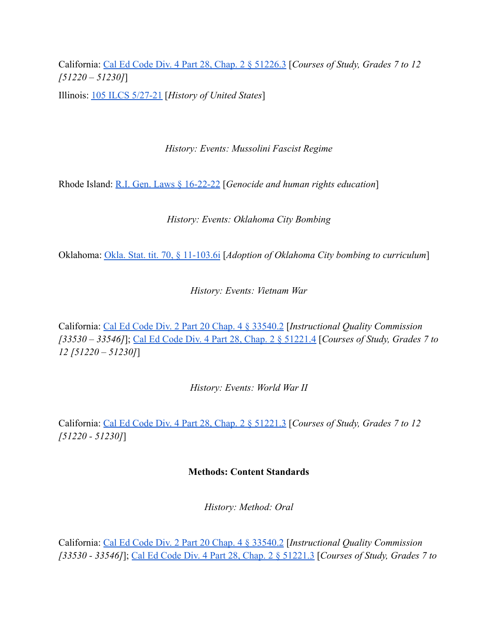California: [Cal Ed Code Div. 4 Part 28, Chap. 2 § 51226.3](https://leginfo.legislature.ca.gov/faces/codes_displaySection.xhtml?lawCode=EDC§ionNum=51226.3.) [*Courses of Study, Grades 7 to 12 [51220 – 51230]*] Illinois: [105 ILCS 5/27-21](https://www.ilga.gov/legislation/ilcs/fulltext.asp?DocName=010500050K27-21) [*History of United States*]

*History: Events: Mussolini Fascist Regime*

Rhode Island: [R.I. Gen. Laws § 16-22-22](http://webserver.rilegislature.gov/Statutes/TITLE16/16-22/16-22-22.HTM) [*Genocide and human rights education*]

*History: Events: Oklahoma City Bombing*

Oklahoma: [Okla. Stat. tit. 70, § 11-103.6i](https://casetext.com/statute/oklahoma-statutes/title-70-schools/70-11-1036i-state-board-of-education-adoption-of-oklahoma-city-bombing-to-curriculum) [*Adoption of Oklahoma City bombing to curriculum*]

*History: Events: Vietnam War*

California: [Cal Ed Code Div. 2 Part 20 Chap. 4 § 33540.2](https://leginfo.legislature.ca.gov/faces/codes_displaySection.xhtml?lawCode=EDC§ionNum=33540.2.) [*Instructional Quality Commission [33530 – 33546]*]; [Cal Ed Code Div. 4 Part 28, Chap.](https://leginfo.legislature.ca.gov/faces/codes_displaySection.xhtml?lawCode=EDC§ionNum=51221.4.) 2 § 51221.4 [*Courses of Study, Grades 7 to 12 [51220 – 51230]*]

*History: Events: World War II*

California: [Cal Ed Code Div. 4 Part 28, Chap. 2 §](https://leginfo.legislature.ca.gov/faces/codes_displaySection.xhtml?lawCode=EDC§ionNum=51221.3.) 51221.3 [*Courses of Study, Grades 7 to 12 [51220 - 51230]*]

# **Methods: Content Standards**

*History: Method: Oral*

California: [Cal Ed Code Div. 2 Part 20 Chap. 4 § 33540.2](https://leginfo.legislature.ca.gov/faces/codes_displaySection.xhtml?lawCode=EDC§ionNum=33540.2.) [*Instructional Quality Commission [33530 - 33546]*]; [Cal Ed Code Div. 4 Part 28, Chap.](https://leginfo.legislature.ca.gov/faces/codes_displaySection.xhtml?lawCode=EDC§ionNum=51221.3.) 2 § 51221.3 [*Courses of Study, Grades 7 to*